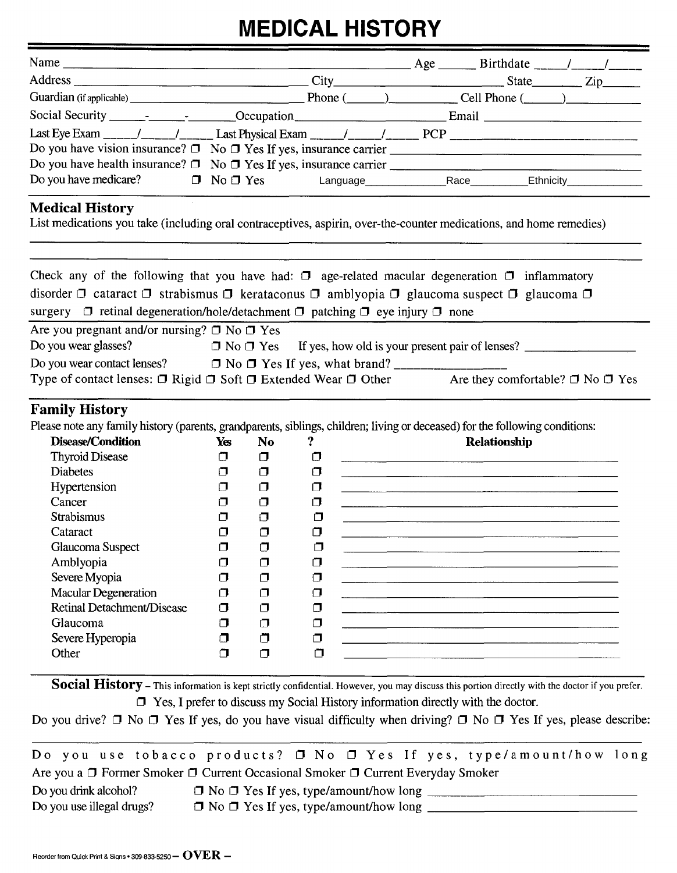## **MEDICAL HISTORY**

| <b>MEDICAL HISTORY</b>                                                                                                                                                                                                                                                                                                                          |             |                |             |  |  |                                                                     |  |                                                                      |  |  |
|-------------------------------------------------------------------------------------------------------------------------------------------------------------------------------------------------------------------------------------------------------------------------------------------------------------------------------------------------|-------------|----------------|-------------|--|--|---------------------------------------------------------------------|--|----------------------------------------------------------------------|--|--|
|                                                                                                                                                                                                                                                                                                                                                 |             |                |             |  |  |                                                                     |  |                                                                      |  |  |
|                                                                                                                                                                                                                                                                                                                                                 |             |                |             |  |  |                                                                     |  |                                                                      |  |  |
|                                                                                                                                                                                                                                                                                                                                                 |             |                |             |  |  |                                                                     |  |                                                                      |  |  |
|                                                                                                                                                                                                                                                                                                                                                 |             |                |             |  |  |                                                                     |  |                                                                      |  |  |
|                                                                                                                                                                                                                                                                                                                                                 |             |                |             |  |  |                                                                     |  |                                                                      |  |  |
|                                                                                                                                                                                                                                                                                                                                                 |             |                |             |  |  |                                                                     |  |                                                                      |  |  |
|                                                                                                                                                                                                                                                                                                                                                 |             |                |             |  |  |                                                                     |  |                                                                      |  |  |
| Do you have medicare?<br>$\Box$ No $\Box$ Yes Language Race Race Ethnicity                                                                                                                                                                                                                                                                      |             |                |             |  |  |                                                                     |  |                                                                      |  |  |
| <b>Medical History</b><br>List medications you take (including oral contraceptives, aspirin, over-the-counter medications, and home remedies)                                                                                                                                                                                                   |             |                |             |  |  |                                                                     |  |                                                                      |  |  |
| Check any of the following that you have had: $\Box$ age-related macular degeneration $\Box$ inflammatory<br>disorder $\Box$ cataract $\Box$ strabismus $\Box$ kerataconus $\Box$ amblyopia $\Box$ glaucoma suspect $\Box$ glaucoma $\Box$<br>surgery $\Box$ retinal degeneration/hole/detachment $\Box$ patching $\Box$ eye injury $\Box$ none |             |                |             |  |  |                                                                     |  |                                                                      |  |  |
| Are you pregnant and/or nursing? $\Box$ No $\Box$ Yes<br>Do you wear glasses?                                                                                                                                                                                                                                                                   |             |                |             |  |  |                                                                     |  | $\Box$ No $\Box$ Yes If yes, how old is your present pair of lenses? |  |  |
| Do you wear contact lenses? $\Box$ No $\Box$ Yes If yes, what brand?                                                                                                                                                                                                                                                                            |             |                |             |  |  |                                                                     |  |                                                                      |  |  |
| Type of contact lenses: $\Box$ Rigid $\Box$ Soft $\Box$ Extended Wear $\Box$ Other Are they comfortable? $\Box$ No $\Box$ Yes                                                                                                                                                                                                                   |             |                |             |  |  |                                                                     |  |                                                                      |  |  |
| <b>Family History</b><br>Please note any family history (parents, grandparents, siblings, children; living or deceased) for the following conditions:<br>Disease/Condition                                                                                                                                                                      | Yes         | N <sub>o</sub> | ?           |  |  | <b>Relationship</b>                                                 |  |                                                                      |  |  |
| <b>Thyroid Disease</b>                                                                                                                                                                                                                                                                                                                          | $\Box$      | σ              | $\Box$      |  |  |                                                                     |  |                                                                      |  |  |
| <b>Diabetes</b>                                                                                                                                                                                                                                                                                                                                 | Ω           | $\Box$         | $\Box$      |  |  |                                                                     |  |                                                                      |  |  |
| Hypertension                                                                                                                                                                                                                                                                                                                                    | П           | σ              | $\Box$      |  |  |                                                                     |  |                                                                      |  |  |
| Cancer                                                                                                                                                                                                                                                                                                                                          | ⊓           | σ              | $\Box$      |  |  |                                                                     |  |                                                                      |  |  |
| Strabismus                                                                                                                                                                                                                                                                                                                                      | ◘           | $\Box$         | $\Box$      |  |  |                                                                     |  |                                                                      |  |  |
| Cataract                                                                                                                                                                                                                                                                                                                                        | α           | σ              | $\Box$      |  |  | <u> 1980 - Jan Sterling Sterling (f. 1980)</u>                      |  |                                                                      |  |  |
| Glaucoma Suspect                                                                                                                                                                                                                                                                                                                                | σ           | σ              | $\Box$      |  |  |                                                                     |  |                                                                      |  |  |
| Amblyopia                                                                                                                                                                                                                                                                                                                                       | Ω           | Ο              | $\Box$      |  |  |                                                                     |  |                                                                      |  |  |
| Severe Myopia                                                                                                                                                                                                                                                                                                                                   | σ           | σ              | $\Box$      |  |  | <u> 1980 - Andrea Stadt Britain, amerikansk politiker (d. 1980)</u> |  |                                                                      |  |  |
| <b>Macular Degeneration</b>                                                                                                                                                                                                                                                                                                                     | $\Box$      | σ              | $\Box$      |  |  |                                                                     |  |                                                                      |  |  |
| <b>Retinal Detachment/Disease</b>                                                                                                                                                                                                                                                                                                               | σ           | σ              | $\Box$      |  |  |                                                                     |  |                                                                      |  |  |
| Glaucoma                                                                                                                                                                                                                                                                                                                                        | σ           | $\Box$         | σ           |  |  |                                                                     |  |                                                                      |  |  |
| Severe Hyperopia<br>Other                                                                                                                                                                                                                                                                                                                       | σ<br>$\Box$ | ்<br>$\Box$    | σ<br>$\Box$ |  |  |                                                                     |  |                                                                      |  |  |
|                                                                                                                                                                                                                                                                                                                                                 |             |                |             |  |  |                                                                     |  |                                                                      |  |  |
|                                                                                                                                                                                                                                                                                                                                                 |             |                |             |  |  |                                                                     |  |                                                                      |  |  |

**Social History** – This information is kept strictly confidential. However, you may discuss this portion directly with the doctor if you prefer.  $\Box$  Yes, I prefer to discuss my Social History information directly with the doctor.

Do you drive?  $\Box$  No  $\Box$  Yes If yes, do you have visual difficulty when driving?  $\Box$  No  $\Box$  Yes If yes, please describe: - - --

Do you use tobacco products?  $\Box$  No  $\Box$  Yes If yes, type/amount/how long Are you a  $\Box$  Former Smoker  $\Box$  Current Occasional Smoker  $\Box$  Current Everyday Smoker

Do you drink alcohol?  $\Box$  No  $\Box$  Yes If yes, type/amount/how long  $\Box$  No  $\Box$  No  $\Box$  Yes If yes, type/amount/how long  $\Box$ Do you use illegal drugs? a No tl Yes If yes, type/amount/how long